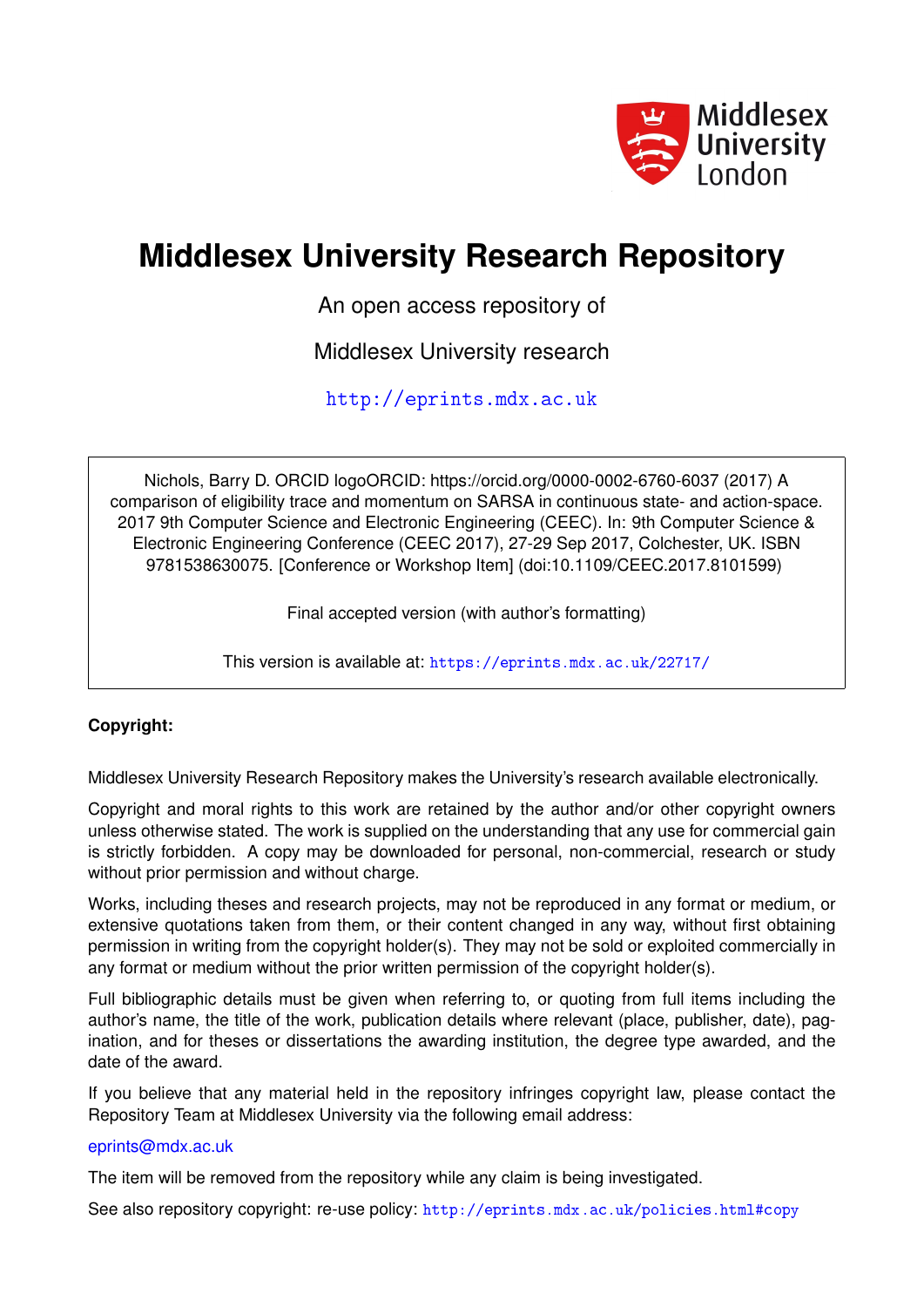

## **Middlesex University Research Repository**

An open access repository of

Middlesex University research

<http://eprints.mdx.ac.uk>

Nichols, Barry D. ORCID logoORCID: https://orcid.org/0000-0002-6760-6037 (2017) A comparison of eligibility trace and momentum on SARSA in continuous state- and action-space. 2017 9th Computer Science and Electronic Engineering (CEEC). In: 9th Computer Science & Electronic Engineering Conference (CEEC 2017), 27-29 Sep 2017, Colchester, UK. ISBN 9781538630075. [Conference or Workshop Item] (doi:10.1109/CEEC.2017.8101599)

Final accepted version (with author's formatting)

This version is available at: <https://eprints.mdx.ac.uk/22717/>

## **Copyright:**

Middlesex University Research Repository makes the University's research available electronically.

Copyright and moral rights to this work are retained by the author and/or other copyright owners unless otherwise stated. The work is supplied on the understanding that any use for commercial gain is strictly forbidden. A copy may be downloaded for personal, non-commercial, research or study without prior permission and without charge.

Works, including theses and research projects, may not be reproduced in any format or medium, or extensive quotations taken from them, or their content changed in any way, without first obtaining permission in writing from the copyright holder(s). They may not be sold or exploited commercially in any format or medium without the prior written permission of the copyright holder(s).

Full bibliographic details must be given when referring to, or quoting from full items including the author's name, the title of the work, publication details where relevant (place, publisher, date), pagination, and for theses or dissertations the awarding institution, the degree type awarded, and the date of the award.

If you believe that any material held in the repository infringes copyright law, please contact the Repository Team at Middlesex University via the following email address:

### [eprints@mdx.ac.uk](mailto:eprints@mdx.ac.uk)

The item will be removed from the repository while any claim is being investigated.

See also repository copyright: re-use policy: <http://eprints.mdx.ac.uk/policies.html#copy>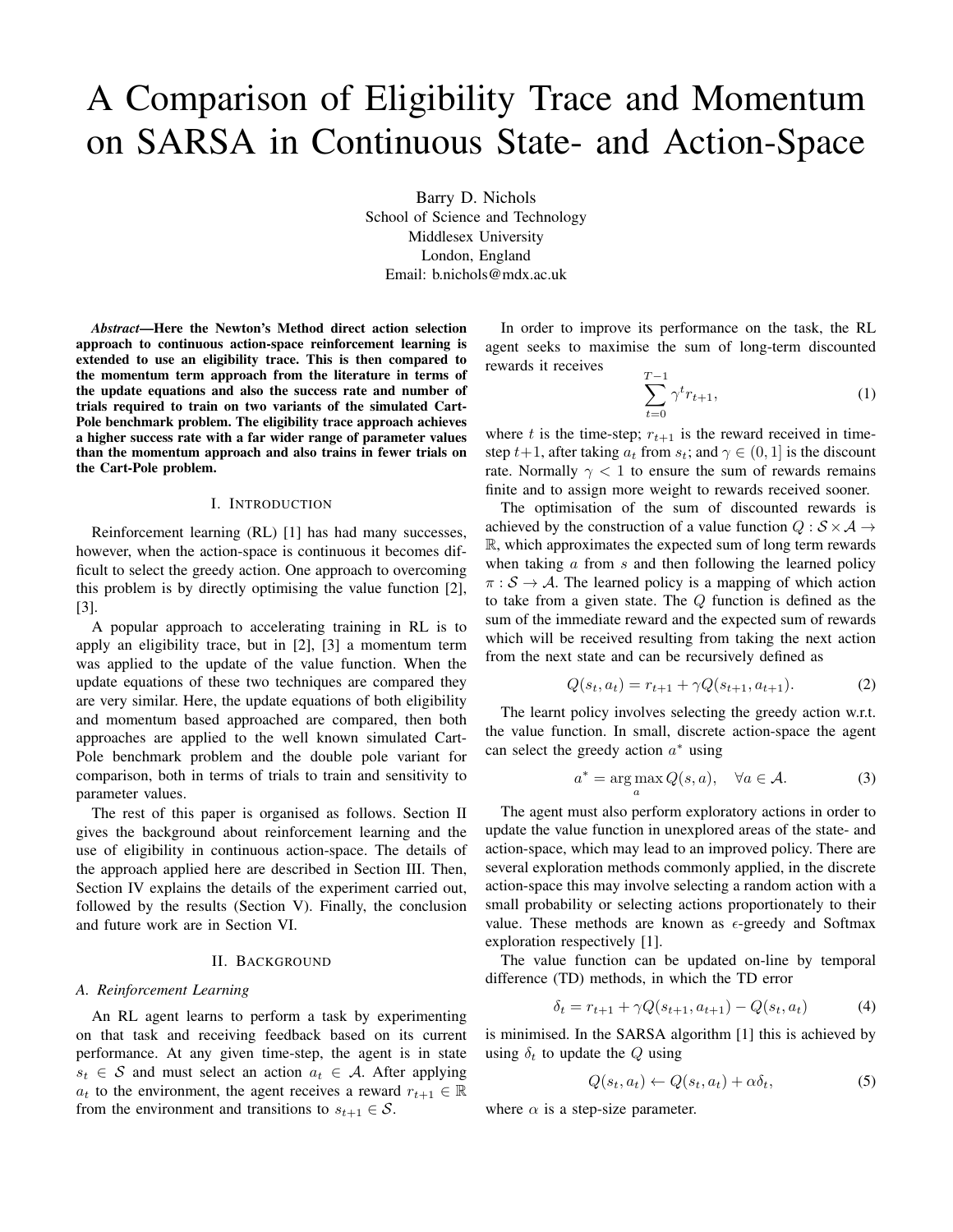# A Comparison of Eligibility Trace and Momentum on SARSA in Continuous State- and Action-Space

Barry D. Nichols School of Science and Technology Middlesex University London, England Email: b.nichols@mdx.ac.uk

*Abstract*—Here the Newton's Method direct action selection approach to continuous action-space reinforcement learning is extended to use an eligibility trace. This is then compared to the momentum term approach from the literature in terms of the update equations and also the success rate and number of trials required to train on two variants of the simulated Cart-Pole benchmark problem. The eligibility trace approach achieves a higher success rate with a far wider range of parameter values than the momentum approach and also trains in fewer trials on the Cart-Pole problem.

#### I. INTRODUCTION

Reinforcement learning (RL) [1] has had many successes, however, when the action-space is continuous it becomes difficult to select the greedy action. One approach to overcoming this problem is by directly optimising the value function [2], [3].

A popular approach to accelerating training in RL is to apply an eligibility trace, but in [2], [3] a momentum term was applied to the update of the value function. When the update equations of these two techniques are compared they are very similar. Here, the update equations of both eligibility and momentum based approached are compared, then both approaches are applied to the well known simulated Cart-Pole benchmark problem and the double pole variant for comparison, both in terms of trials to train and sensitivity to parameter values.

The rest of this paper is organised as follows. Section II gives the background about reinforcement learning and the use of eligibility in continuous action-space. The details of the approach applied here are described in Section III. Then, Section IV explains the details of the experiment carried out, followed by the results (Section V). Finally, the conclusion and future work are in Section VI.

#### II. BACKGROUND

#### *A. Reinforcement Learning*

An RL agent learns to perform a task by experimenting on that task and receiving feedback based on its current performance. At any given time-step, the agent is in state  $s_t \in S$  and must select an action  $a_t \in A$ . After applying  $a_t$  to the environment, the agent receives a reward  $r_{t+1} \in \mathbb{R}$ from the environment and transitions to  $s_{t+1} \in S$ .

In order to improve its performance on the task, the RL agent seeks to maximise the sum of long-term discounted rewards it receives

$$
\sum_{t=0}^{T-1} \gamma^t r_{t+1},\tag{1}
$$

where t is the time-step;  $r_{t+1}$  is the reward received in timestep  $t+1$ , after taking  $a_t$  from  $s_t$ ; and  $\gamma \in (0,1]$  is the discount rate. Normally  $\gamma$  < 1 to ensure the sum of rewards remains finite and to assign more weight to rewards received sooner.

The optimisation of the sum of discounted rewards is achieved by the construction of a value function  $Q : \mathcal{S} \times \mathcal{A} \rightarrow$ R, which approximates the expected sum of long term rewards when taking  $a$  from  $s$  and then following the learned policy  $\pi : S \to A$ . The learned policy is a mapping of which action to take from a given state. The Q function is defined as the sum of the immediate reward and the expected sum of rewards which will be received resulting from taking the next action from the next state and can be recursively defined as

$$
Q(s_t, a_t) = r_{t+1} + \gamma Q(s_{t+1}, a_{t+1}).
$$
\n(2)

The learnt policy involves selecting the greedy action w.r.t. the value function. In small, discrete action-space the agent can select the greedy action  $a^*$  using

$$
a^* = \underset{a}{\arg\max} Q(s, a), \quad \forall a \in \mathcal{A}.
$$
 (3)

The agent must also perform exploratory actions in order to update the value function in unexplored areas of the state- and action-space, which may lead to an improved policy. There are several exploration methods commonly applied, in the discrete action-space this may involve selecting a random action with a small probability or selecting actions proportionately to their value. These methods are known as  $\epsilon$ -greedy and Softmax exploration respectively [1].

The value function can be updated on-line by temporal difference (TD) methods, in which the TD error

$$
\delta_t = r_{t+1} + \gamma Q(s_{t+1}, a_{t+1}) - Q(s_t, a_t)
$$
\n(4)

is minimised. In the SARSA algorithm [1] this is achieved by using  $\delta_t$  to update the Q using

$$
Q(s_t, a_t) \leftarrow Q(s_t, a_t) + \alpha \delta_t, \tag{5}
$$

where  $\alpha$  is a step-size parameter.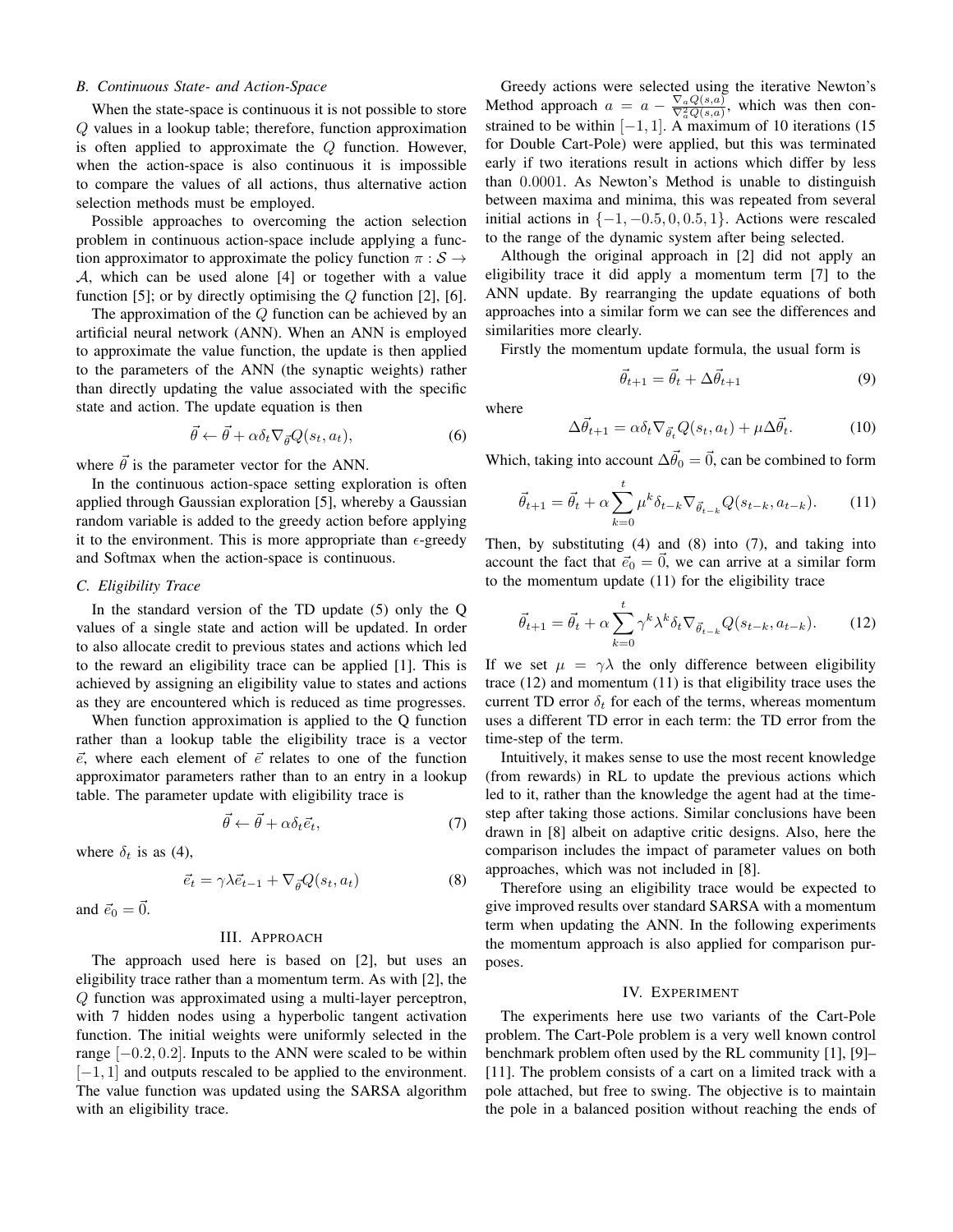#### *B. Continuous State- and Action-Space*

When the state-space is continuous it is not possible to store Q values in a lookup table; therefore, function approximation is often applied to approximate the  $Q$  function. However, when the action-space is also continuous it is impossible to compare the values of all actions, thus alternative action selection methods must be employed.

Possible approaches to overcoming the action selection problem in continuous action-space include applying a function approximator to approximate the policy function  $\pi : \mathcal{S} \rightarrow$ A, which can be used alone [4] or together with a value function [5]; or by directly optimising the  $Q$  function [2], [6].

The approximation of the Q function can be achieved by an artificial neural network (ANN). When an ANN is employed to approximate the value function, the update is then applied to the parameters of the ANN (the synaptic weights) rather than directly updating the value associated with the specific state and action. The update equation is then

$$
\vec{\theta} \leftarrow \vec{\theta} + \alpha \delta_t \nabla_{\vec{\theta}} Q(s_t, a_t), \tag{6}
$$

where  $\vec{\theta}$  is the parameter vector for the ANN.

In the continuous action-space setting exploration is often applied through Gaussian exploration [5], whereby a Gaussian random variable is added to the greedy action before applying it to the environment. This is more appropriate than  $\epsilon$ -greedy and Softmax when the action-space is continuous.

#### *C. Eligibility Trace*

In the standard version of the TD update (5) only the Q values of a single state and action will be updated. In order to also allocate credit to previous states and actions which led to the reward an eligibility trace can be applied [1]. This is achieved by assigning an eligibility value to states and actions as they are encountered which is reduced as time progresses.

When function approximation is applied to the Q function rather than a lookup table the eligibility trace is a vector  $\vec{e}$ , where each element of  $\vec{e}$  relates to one of the function approximator parameters rather than to an entry in a lookup table. The parameter update with eligibility trace is

$$
\vec{\theta} \leftarrow \vec{\theta} + \alpha \delta_t \vec{e}_t,\tag{7}
$$

where  $\delta_t$  is as (4),

$$
\vec{e}_t = \gamma \lambda \vec{e}_{t-1} + \nabla_{\vec{\theta}} Q(s_t, a_t)
$$
\n(8)

and  $\vec{e}_0 = \vec{0}$ .

#### III. APPROACH

The approach used here is based on [2], but uses an eligibility trace rather than a momentum term. As with [2], the Q function was approximated using a multi-layer perceptron, with 7 hidden nodes using a hyperbolic tangent activation function. The initial weights were uniformly selected in the range  $[-0.2, 0.2]$ . Inputs to the ANN were scaled to be within [−1, 1] and outputs rescaled to be applied to the environment. The value function was updated using the SARSA algorithm with an eligibility trace.

Greedy actions were selected using the iterative Newton's Method approach  $a = a - \frac{\nabla_a Q(s, a)}{\nabla_a^2 Q(s, a)}$ , which was then constrained to be within  $[-1, 1]$ . A maximum of 10 iterations (15 for Double Cart-Pole) were applied, but this was terminated early if two iterations result in actions which differ by less than 0.0001. As Newton's Method is unable to distinguish between maxima and minima, this was repeated from several initial actions in  $\{-1, -0.5, 0, 0.5, 1\}$ . Actions were rescaled to the range of the dynamic system after being selected.

Although the original approach in [2] did not apply an eligibility trace it did apply a momentum term [7] to the ANN update. By rearranging the update equations of both approaches into a similar form we can see the differences and similarities more clearly.

Firstly the momentum update formula, the usual form is

$$
\vec{\theta}_{t+1} = \vec{\theta}_t + \Delta \vec{\theta}_{t+1} \tag{9}
$$

where

$$
\Delta \vec{\theta}_{t+1} = \alpha \delta_t \nabla_{\vec{\theta}_t} Q(s_t, a_t) + \mu \Delta \vec{\theta}_t.
$$
 (10)

Which, taking into account  $\Delta \vec{\theta}_0 = \vec{0}$ , can be combined to form

$$
\vec{\theta}_{t+1} = \vec{\theta}_t + \alpha \sum_{k=0}^t \mu^k \delta_{t-k} \nabla_{\vec{\theta}_{t-k}} Q(s_{t-k}, a_{t-k}). \tag{11}
$$

Then, by substituting (4) and (8) into (7), and taking into account the fact that  $\vec{e}_0 = \vec{0}$ , we can arrive at a similar form to the momentum update (11) for the eligibility trace

$$
\vec{\theta}_{t+1} = \vec{\theta}_t + \alpha \sum_{k=0}^t \gamma^k \lambda^k \delta_t \nabla_{\vec{\theta}_{t-k}} Q(s_{t-k}, a_{t-k}). \tag{12}
$$

If we set  $\mu = \gamma \lambda$  the only difference between eligibility trace (12) and momentum (11) is that eligibility trace uses the current TD error  $\delta_t$  for each of the terms, whereas momentum uses a different TD error in each term: the TD error from the time-step of the term.

Intuitively, it makes sense to use the most recent knowledge (from rewards) in RL to update the previous actions which led to it, rather than the knowledge the agent had at the timestep after taking those actions. Similar conclusions have been drawn in [8] albeit on adaptive critic designs. Also, here the comparison includes the impact of parameter values on both approaches, which was not included in [8].

Therefore using an eligibility trace would be expected to give improved results over standard SARSA with a momentum term when updating the ANN. In the following experiments the momentum approach is also applied for comparison purposes.

#### IV. EXPERIMENT

The experiments here use two variants of the Cart-Pole problem. The Cart-Pole problem is a very well known control benchmark problem often used by the RL community [1], [9]– [11]. The problem consists of a cart on a limited track with a pole attached, but free to swing. The objective is to maintain the pole in a balanced position without reaching the ends of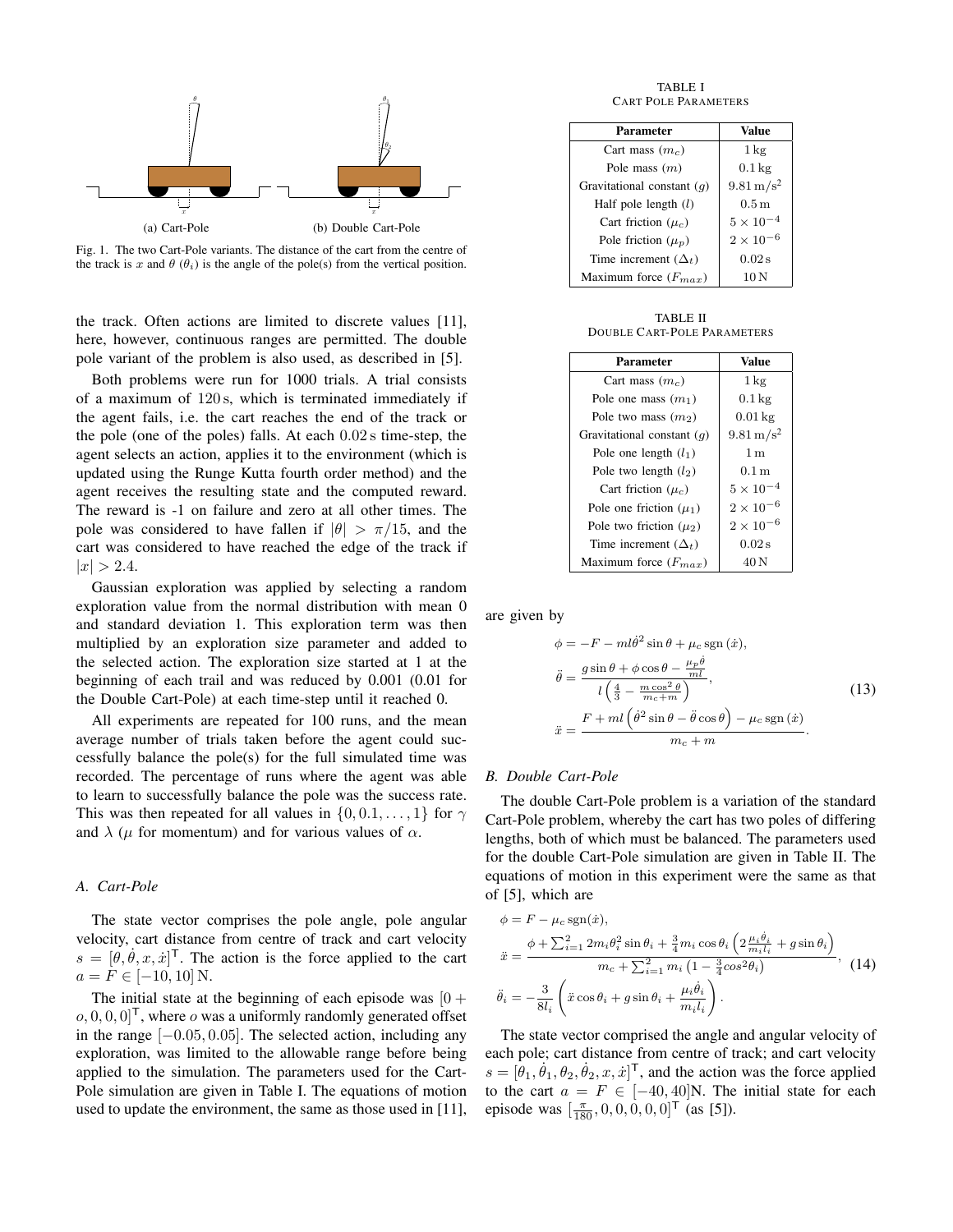

Fig. 1. The two Cart-Pole variants. The distance of the cart from the centre of the track is x and  $\theta$  ( $\theta_i$ ) is the angle of the pole(s) from the vertical position.

the track. Often actions are limited to discrete values [11], here, however, continuous ranges are permitted. The double pole variant of the problem is also used, as described in [5].

Both problems were run for 1000 trials. A trial consists of a maximum of 120 s, which is terminated immediately if the agent fails, i.e. the cart reaches the end of the track or the pole (one of the poles) falls. At each 0.02 s time-step, the agent selects an action, applies it to the environment (which is updated using the Runge Kutta fourth order method) and the agent receives the resulting state and the computed reward. The reward is -1 on failure and zero at all other times. The pole was considered to have fallen if  $|\theta| > \pi/15$ , and the cart was considered to have reached the edge of the track if  $|x| > 2.4.$ 

Gaussian exploration was applied by selecting a random exploration value from the normal distribution with mean 0 and standard deviation 1. This exploration term was then multiplied by an exploration size parameter and added to the selected action. The exploration size started at 1 at the beginning of each trail and was reduced by 0.001 (0.01 for the Double Cart-Pole) at each time-step until it reached 0.

All experiments are repeated for 100 runs, and the mean average number of trials taken before the agent could successfully balance the pole(s) for the full simulated time was recorded. The percentage of runs where the agent was able to learn to successfully balance the pole was the success rate. This was then repeated for all values in  $\{0, 0.1, \ldots, 1\}$  for  $\gamma$ and  $\lambda$  ( $\mu$  for momentum) and for various values of  $\alpha$ .

#### *A. Cart-Pole*

The state vector comprises the pole angle, pole angular velocity, cart distance from centre of track and cart velocity  $s = [\theta, \dot{\theta}, x, \dot{x}]^\mathsf{T}$ . The action is the force applied to the cart  $a = F \in [-10, 10]$  N.

The initial state at the beginning of each episode was  $[0 +$  $[0, 0, 0, 0]^\mathsf{T}$ , where o was a uniformly randomly generated offset in the range  $[-0.05, 0.05]$ . The selected action, including any exploration, was limited to the allowable range before being applied to the simulation. The parameters used for the Cart-Pole simulation are given in Table I. The equations of motion used to update the environment, the same as those used in [11],

TABLE I CART POLE PARAMETERS

| Parameter                    | Value                   |
|------------------------------|-------------------------|
| Cart mass $(mc)$             | $1 \,\mathrm{kg}$       |
| Pole mass $(m)$              | $0.1 \,\mathrm{kg}$     |
| Gravitational constant $(q)$ | $9.81 \,\mathrm{m/s^2}$ |
| Half pole length $(l)$       | 0.5 <sub>m</sub>        |
| Cart friction $(\mu_c)$      | $5 \times 10^{-4}$      |
| Pole friction $(\mu_p)$      | $2 \times 10^{-6}$      |
| Time increment $(\Delta_t)$  | 0.02 s                  |
| Maximum force $(F_{max})$    | 10N                     |

TABLE II DOUBLE CART-POLE PARAMETERS

| Parameter                    | <b>Value</b>            |
|------------------------------|-------------------------|
| Cart mass $(m_c)$            | $1 \text{ kg}$          |
| Pole one mass $(m_1)$        | $0.1 \,\mathrm{kg}$     |
| Pole two mass $(m_2)$        | $0.01 \text{ kg}$       |
| Gravitational constant $(q)$ | $9.81 \,\mathrm{m/s^2}$ |
| Pole one length $(l_1)$      | 1 <sub>m</sub>          |
| Pole two length $(l_2)$      | 0.1 <sub>m</sub>        |
| Cart friction $(\mu_c)$      | $5 \times 10^{-4}$      |
| Pole one friction $(\mu_1)$  | $2\times10^{-6}$        |
| Pole two friction $(\mu_2)$  | $2\times10^{-6}$        |
| Time increment $(\Delta_t)$  | 0.02 s                  |
| Maximum force $(F_{max})$    | 40 N                    |

are given by

$$
\phi = -F - ml\dot{\theta}^2 \sin\theta + \mu_c \operatorname{sgn}(\dot{x}),
$$
  
\n
$$
\ddot{\theta} = \frac{g\sin\theta + \phi\cos\theta - \frac{\mu_p\dot{\theta}}{ml}}{l\left(\frac{4}{3} - \frac{m\cos^2\theta}{m_c + m}\right)},
$$
  
\n
$$
\ddot{x} = \frac{F + ml\left(\dot{\theta}^2 \sin\theta - \ddot{\theta}\cos\theta\right) - \mu_c \operatorname{sgn}(\dot{x})}{m_c + m}.
$$
\n(13)

#### *B. Double Cart-Pole*

The double Cart-Pole problem is a variation of the standard Cart-Pole problem, whereby the cart has two poles of differing lengths, both of which must be balanced. The parameters used for the double Cart-Pole simulation are given in Table II. The equations of motion in this experiment were the same as that of [5], which are

$$
\phi = F - \mu_c \operatorname{sgn}(\dot{x}),
$$
  
\n
$$
\ddot{x} = \frac{\phi + \sum_{i=1}^2 2m_i \theta_i^2 \sin \theta_i + \frac{3}{4} m_i \cos \theta_i \left( 2 \frac{\mu_i \dot{\theta}_i}{m_i l_i} + g \sin \theta_i \right)}{m_c + \sum_{i=1}^2 m_i \left( 1 - \frac{3}{4} \cos^2 \theta_i \right)},
$$
 (14)  
\n
$$
\ddot{\theta}_i = -\frac{3}{8l_i} \left( \ddot{x} \cos \theta_i + g \sin \theta_i + \frac{\mu_i \dot{\theta}_i}{m_i l_i} \right).
$$

The state vector comprised the angle and angular velocity of each pole; cart distance from centre of track; and cart velocity  $s = [\dot{\theta}_1, \dot{\theta}_1, \theta_2, \dot{\theta}_2, x, \dot{x}]^\mathsf{T}$ , and the action was the force applied to the cart  $a = F \in [-40, 40]$ N. The initial state for each episode was  $\left[\frac{\pi}{180}, 0, 0, 0, 0, 0\right]^\text{T}$  (as [5]).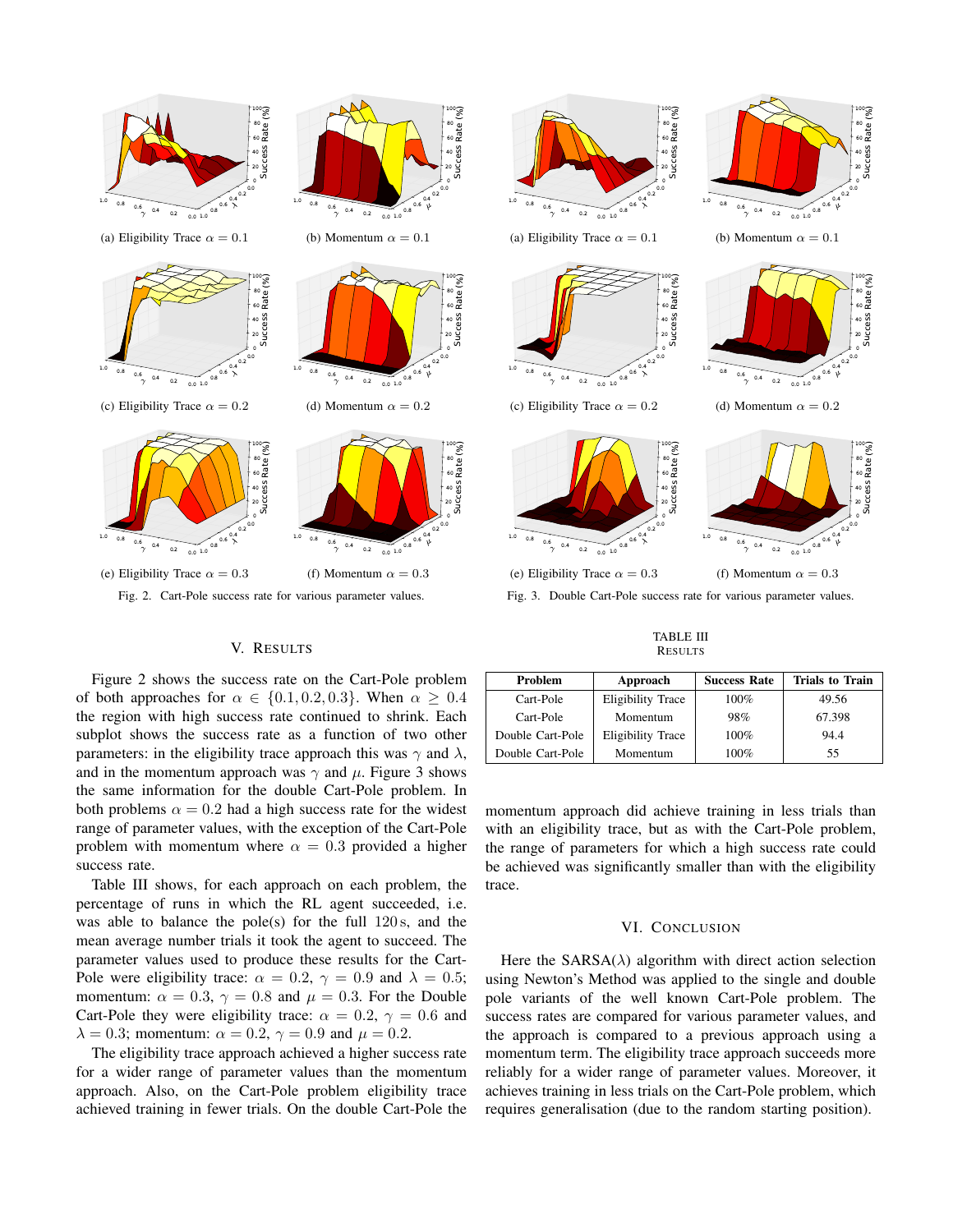

#### V. RESULTS

Figure 2 shows the success rate on the Cart-Pole problem of both approaches for  $\alpha \in \{0.1, 0.2, 0.3\}$ . When  $\alpha \geq 0.4$ the region with high success rate continued to shrink. Each subplot shows the success rate as a function of two other parameters: in the eligibility trace approach this was  $\gamma$  and  $\lambda$ , and in the momentum approach was  $\gamma$  and  $\mu$ . Figure 3 shows the same information for the double Cart-Pole problem. In both problems  $\alpha = 0.2$  had a high success rate for the widest range of parameter values, with the exception of the Cart-Pole problem with momentum where  $\alpha = 0.3$  provided a higher success rate.

Table III shows, for each approach on each problem, the percentage of runs in which the RL agent succeeded, i.e. was able to balance the pole(s) for the full  $120 \text{ s}$ , and the mean average number trials it took the agent to succeed. The parameter values used to produce these results for the Cart-Pole were eligibility trace:  $\alpha = 0.2$ ,  $\gamma = 0.9$  and  $\lambda = 0.5$ ; momentum:  $\alpha = 0.3$ ,  $\gamma = 0.8$  and  $\mu = 0.3$ . For the Double Cart-Pole they were eligibility trace:  $\alpha = 0.2$ ,  $\gamma = 0.6$  and  $\lambda = 0.3$ ; momentum:  $\alpha = 0.2$ ,  $\gamma = 0.9$  and  $\mu = 0.2$ .

The eligibility trace approach achieved a higher success rate for a wider range of parameter values than the momentum approach. Also, on the Cart-Pole problem eligibility trace achieved training in fewer trials. On the double Cart-Pole the



Fig. 3. Double Cart-Pole success rate for various parameter values.

TABLE III **RESULTS** 

| Problem          | Approach                 | <b>Success Rate</b> | <b>Trials to Train</b> |
|------------------|--------------------------|---------------------|------------------------|
| Cart-Pole        | <b>Eligibility Trace</b> | 100%                | 49.56                  |
| Cart-Pole        | Momentum                 | 98%                 | 67.398                 |
| Double Cart-Pole | Eligibility Trace        | $100\%$             | 94.4                   |
| Double Cart-Pole | Momentum                 | 100%                | 55                     |

momentum approach did achieve training in less trials than with an eligibility trace, but as with the Cart-Pole problem, the range of parameters for which a high success rate could be achieved was significantly smaller than with the eligibility trace.

#### VI. CONCLUSION

Here the  $SARSA(\lambda)$  algorithm with direct action selection using Newton's Method was applied to the single and double pole variants of the well known Cart-Pole problem. The success rates are compared for various parameter values, and the approach is compared to a previous approach using a momentum term. The eligibility trace approach succeeds more reliably for a wider range of parameter values. Moreover, it achieves training in less trials on the Cart-Pole problem, which requires generalisation (due to the random starting position).